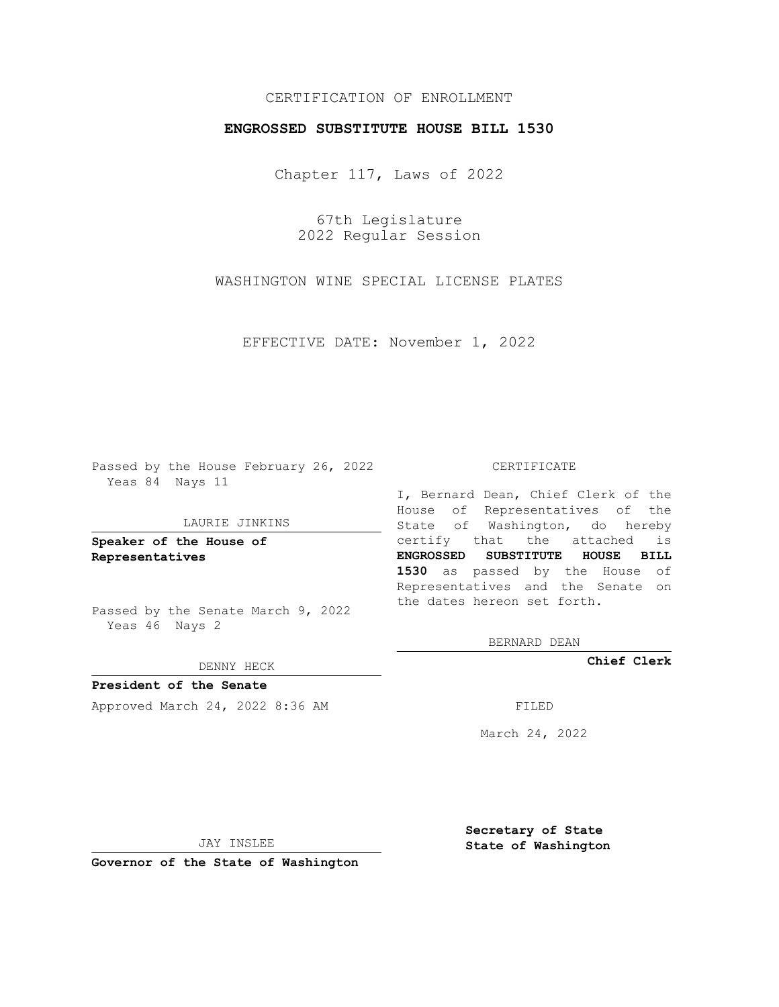# CERTIFICATION OF ENROLLMENT

## **ENGROSSED SUBSTITUTE HOUSE BILL 1530**

Chapter 117, Laws of 2022

67th Legislature 2022 Regular Session

WASHINGTON WINE SPECIAL LICENSE PLATES

EFFECTIVE DATE: November 1, 2022

Passed by the House February 26, 2022 Yeas 84 Nays 11

### LAURIE JINKINS

**Speaker of the House of Representatives**

Passed by the Senate March 9, 2022 Yeas 46 Nays 2

#### DENNY HECK

**President of the Senate** Approved March 24, 2022 8:36 AM

#### CERTIFICATE

I, Bernard Dean, Chief Clerk of the House of Representatives of the State of Washington, do hereby certify that the attached is **ENGROSSED SUBSTITUTE HOUSE BILL 1530** as passed by the House of Representatives and the Senate on the dates hereon set forth.

BERNARD DEAN

**Chief Clerk**

March 24, 2022

JAY INSLEE

**Governor of the State of Washington**

**Secretary of State State of Washington**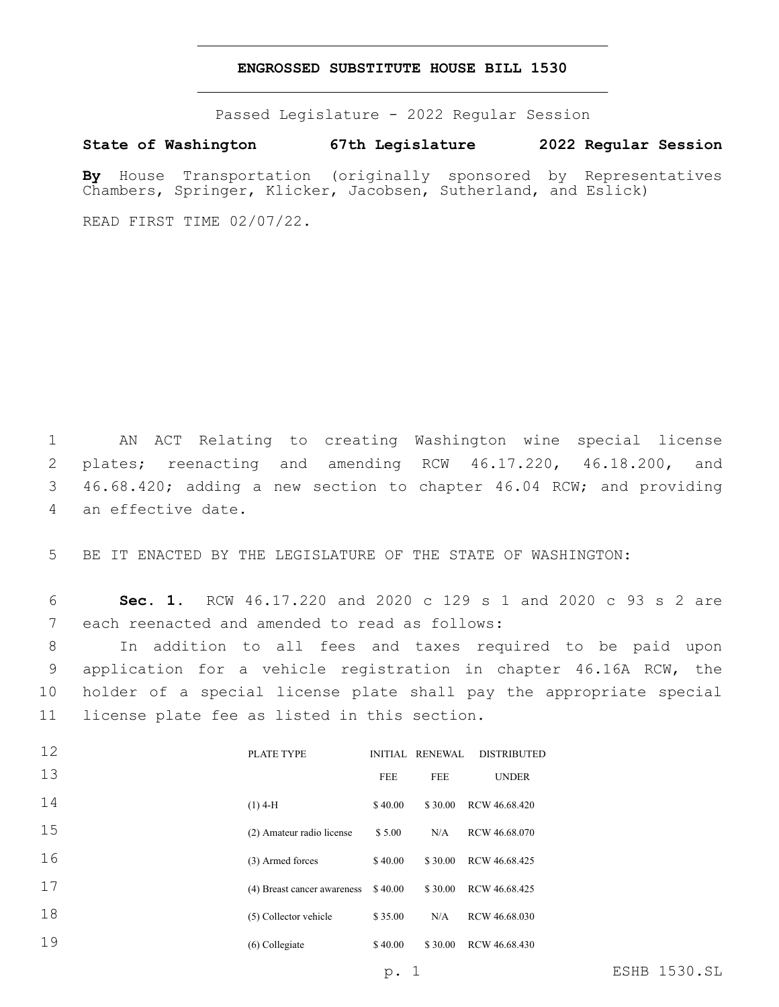### **ENGROSSED SUBSTITUTE HOUSE BILL 1530**

Passed Legislature - 2022 Regular Session

**State of Washington 67th Legislature 2022 Regular Session**

**By** House Transportation (originally sponsored by Representatives Chambers, Springer, Klicker, Jacobsen, Sutherland, and Eslick)

READ FIRST TIME 02/07/22.

 $\overline{1}$ 

1 AN ACT Relating to creating Washington wine special license 2 plates; reenacting and amending RCW 46.17.220, 46.18.200, and 3 46.68.420; adding a new section to chapter 46.04 RCW; and providing 4 an effective date.

5 BE IT ENACTED BY THE LEGISLATURE OF THE STATE OF WASHINGTON:

6 **Sec. 1.** RCW 46.17.220 and 2020 c 129 s 1 and 2020 c 93 s 2 are 7 each reenacted and amended to read as follows:

 In addition to all fees and taxes required to be paid upon application for a vehicle registration in chapter 46.16A RCW, the holder of a special license plate shall pay the appropriate special 11 license plate fee as listed in this section.

| 12 | PLATE TYPE                  |            | INITIAL RENEWAL | <b>DISTRIBUTED</b> |
|----|-----------------------------|------------|-----------------|--------------------|
| 13 |                             | <b>FEE</b> | <b>FEE</b>      | <b>UNDER</b>       |
| 14 | $(1)$ 4-H                   | \$40.00    | \$30.00         | RCW 46.68.420      |
| 15 | (2) Amateur radio license   | \$5.00     | N/A             | RCW 46.68.070      |
| 16 | (3) Armed forces            | \$40.00    | \$30.00         | RCW 46.68.425      |
| 17 | (4) Breast cancer awareness | \$40.00    | \$30.00         | RCW 46.68.425      |
| 18 | (5) Collector vehicle       | \$35.00    | N/A             | RCW 46.68.030      |
| 19 | $(6)$ Collegiate            | \$40.00    | \$30.00         | RCW 46.68.430      |
|    |                             |            |                 |                    |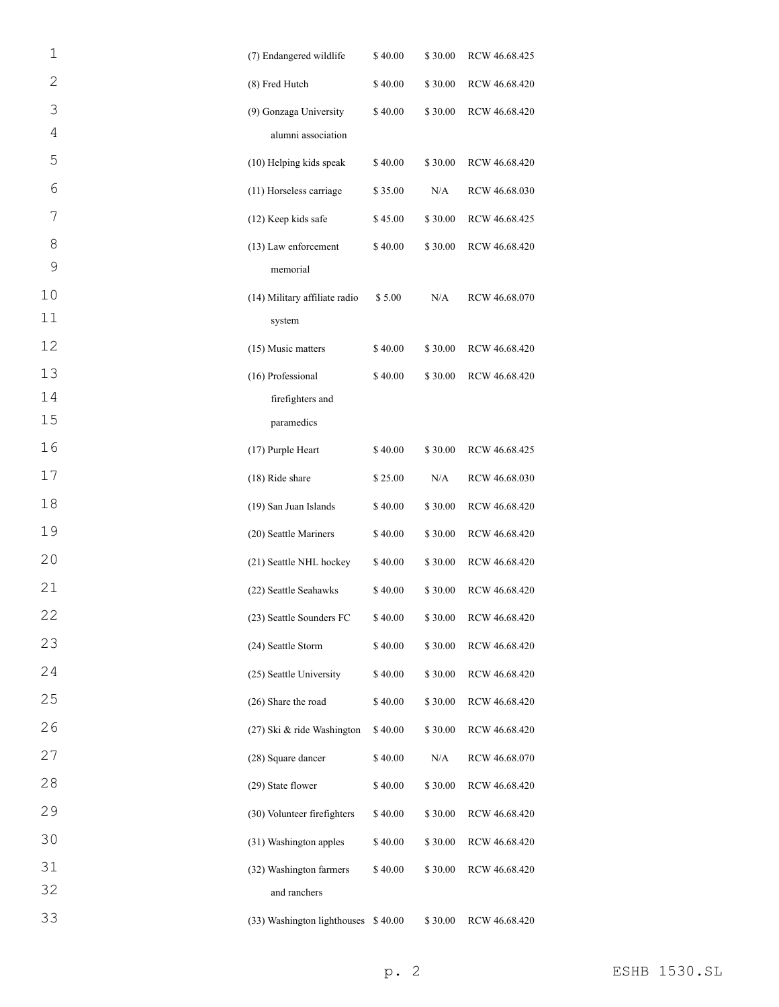| 1              | (7) Endangered wildlife             | \$40.00 | \$30.00 | RCW 46.68.425 |
|----------------|-------------------------------------|---------|---------|---------------|
| $\overline{2}$ | (8) Fred Hutch                      | \$40.00 | \$30.00 | RCW 46.68.420 |
| 3              | (9) Gonzaga University              | \$40.00 | \$30.00 | RCW 46.68.420 |
| 4              | alumni association                  |         |         |               |
| 5              | (10) Helping kids speak             | \$40.00 | \$30.00 | RCW 46.68.420 |
| 6              | (11) Horseless carriage             | \$35.00 | N/A     | RCW 46.68.030 |
| 7              | (12) Keep kids safe                 | \$45.00 | \$30.00 | RCW 46.68.425 |
| 8              | (13) Law enforcement                | \$40.00 | \$30.00 | RCW 46.68.420 |
| 9              | memorial                            |         |         |               |
| 10             | (14) Military affiliate radio       | \$5.00  | N/A     | RCW 46.68.070 |
| 11             | system                              |         |         |               |
| 12             | (15) Music matters                  | \$40.00 | \$30.00 | RCW 46.68.420 |
| 13             | (16) Professional                   | \$40.00 | \$30.00 | RCW 46.68.420 |
| 14             | firefighters and                    |         |         |               |
| 15             | paramedics                          |         |         |               |
| 16             | (17) Purple Heart                   | \$40.00 | \$30.00 | RCW 46.68.425 |
| 17             | (18) Ride share                     | \$25.00 | N/A     | RCW 46.68.030 |
| 18             | (19) San Juan Islands               | \$40.00 | \$30.00 | RCW 46.68.420 |
| 19             | (20) Seattle Mariners               | \$40.00 | \$30.00 | RCW 46.68.420 |
| 20             | (21) Seattle NHL hockey             | \$40.00 | \$30.00 | RCW 46.68.420 |
| 21             | (22) Seattle Seahawks               | \$40.00 | \$30.00 | RCW 46.68.420 |
| 22             | (23) Seattle Sounders FC            | \$40.00 | \$30.00 | RCW 46.68.420 |
| 23             | (24) Seattle Storm                  | \$40.00 | \$30.00 | RCW 46.68.420 |
| 24             | (25) Seattle University             | \$40.00 | \$30.00 | RCW 46.68.420 |
| 25             | (26) Share the road                 | \$40.00 | \$30.00 | RCW 46.68.420 |
| 26             | (27) Ski & ride Washington          | \$40.00 | \$30.00 | RCW 46.68.420 |
| 27             | (28) Square dancer                  | \$40.00 | N/A     | RCW 46.68.070 |
| 28             | (29) State flower                   | \$40.00 | \$30.00 | RCW 46.68.420 |
| 29             | (30) Volunteer firefighters         | \$40.00 | \$30.00 | RCW 46.68.420 |
| 30             | (31) Washington apples              | \$40.00 | \$30.00 | RCW 46.68.420 |
| 31             | (32) Washington farmers             | \$40.00 | \$30.00 | RCW 46.68.420 |
| 32             | and ranchers                        |         |         |               |
| 33             | (33) Washington lighthouses \$40.00 |         | \$30.00 | RCW 46.68.420 |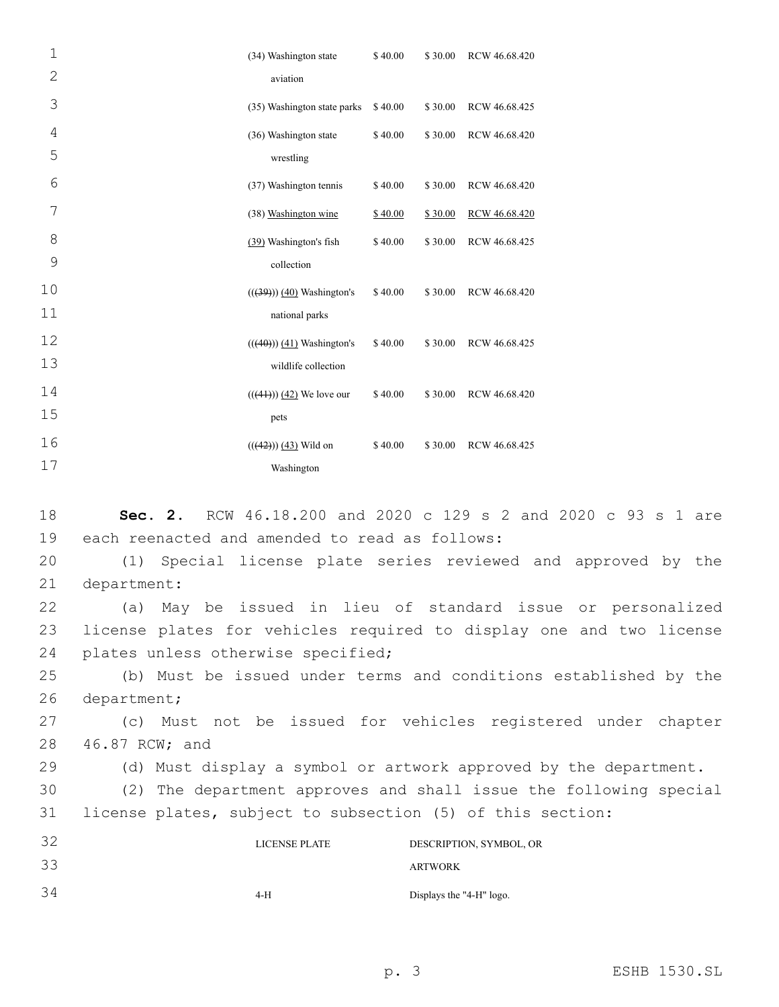| $\mathbf 1$    | (34) Washington state       | \$40.00 | \$30.00 | RCW 46.68.420 |
|----------------|-----------------------------|---------|---------|---------------|
| $\overline{2}$ | aviation                    |         |         |               |
| 3              | (35) Washington state parks | \$40.00 | \$30.00 | RCW 46.68.425 |
| 4              | (36) Washington state       | \$40.00 | \$30.00 | RCW 46.68.420 |
| 5              | wrestling                   |         |         |               |
| 6              | (37) Washington tennis      | \$40.00 | \$30.00 | RCW 46.68.420 |
| 7              | (38) Washington wine        | \$40.00 | \$30.00 | RCW 46.68.420 |
| 8              | (39) Washington's fish      | \$40.00 | \$30.00 | RCW 46.68.425 |
| 9              | collection                  |         |         |               |
| 10             | $((39)) (40)$ Washington's  | \$40.00 | \$30.00 | RCW 46.68.420 |
| 11             | national parks              |         |         |               |
| 12             | $((40))$ (41) Washington's  | \$40.00 | \$30.00 | RCW 46.68.425 |
| 13             | wildlife collection         |         |         |               |
| 14             | $(((41)))(42)$ We love our  | \$40.00 | \$30.00 | RCW 46.68.420 |
| 15             | pets                        |         |         |               |
| 16             | $(((42)))(43)$ Wild on      | \$40.00 | \$30.00 | RCW 46.68.425 |
| 17             | Washington                  |         |         |               |

18 **Sec. 2.** RCW 46.18.200 and 2020 c 129 s 2 and 2020 c 93 s 1 are 19 each reenacted and amended to read as follows: 20 (1) Special license plate series reviewed and approved by the 21 department: 22 (a) May be issued in lieu of standard issue or personalized 23 license plates for vehicles required to display one and two license 24 plates unless otherwise specified; 25 (b) Must be issued under terms and conditions established by the 26 department; 27 (c) Must not be issued for vehicles registered under chapter 28 46.87 RCW; and 29 (d) Must display a symbol or artwork approved by the department. 30 (2) The department approves and shall issue the following special 31 license plates, subject to subsection (5) of this section: 32 33 LICENSE PLATE DESCRIPTION, SYMBOL, OR ARTWORK 34 4-H Displays the "4-H" logo.

p. 3 ESHB 1530.SL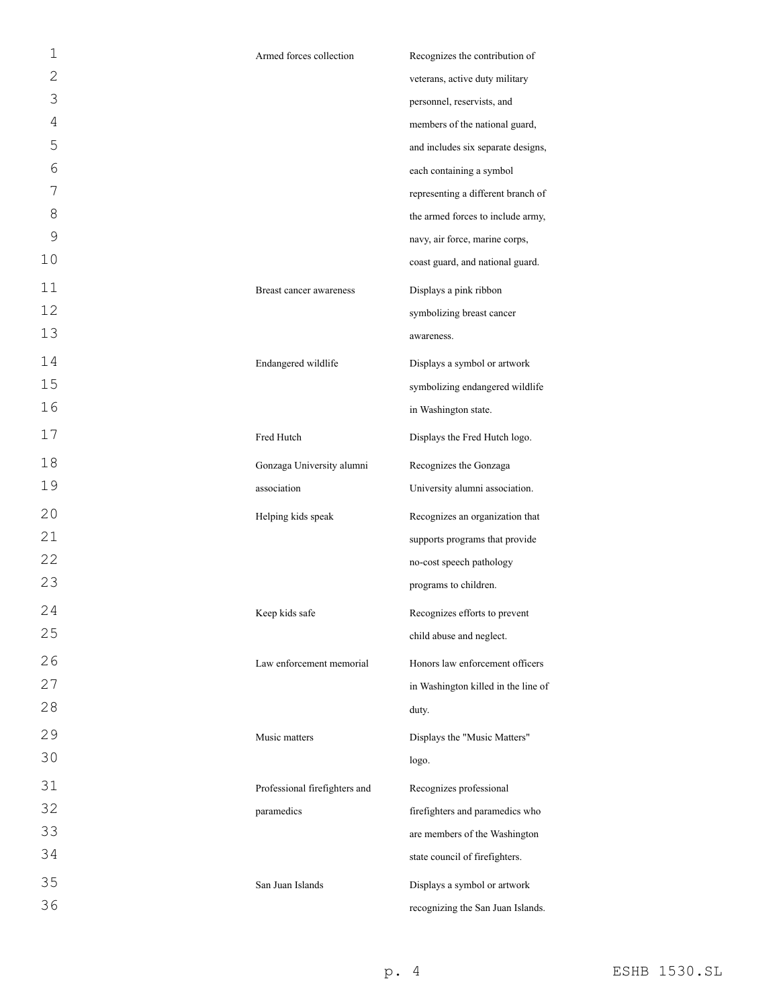| 1              | Armed forces collection       | Recognizes the contribution of      |
|----------------|-------------------------------|-------------------------------------|
| $\mathbf{2}$   |                               | veterans, active duty military      |
| 3              |                               | personnel, reservists, and          |
| $\overline{4}$ |                               | members of the national guard,      |
| 5              |                               | and includes six separate designs,  |
| 6              |                               | each containing a symbol            |
| 7              |                               | representing a different branch of  |
| 8              |                               | the armed forces to include army,   |
| 9              |                               | navy, air force, marine corps,      |
| 10             |                               | coast guard, and national guard.    |
| 11             | Breast cancer awareness       | Displays a pink ribbon              |
| 12             |                               | symbolizing breast cancer           |
| 13             |                               | awareness.                          |
| 14             | Endangered wildlife           | Displays a symbol or artwork        |
| 15             |                               | symbolizing endangered wildlife     |
| 16             |                               | in Washington state.                |
| 17             | Fred Hutch                    | Displays the Fred Hutch logo.       |
| 18             | Gonzaga University alumni     | Recognizes the Gonzaga              |
| 19             | association                   | University alumni association.      |
| 20             | Helping kids speak            | Recognizes an organization that     |
| 21             |                               | supports programs that provide      |
| 22             |                               | no-cost speech pathology            |
| 23             |                               | programs to children.               |
| 24             | Keep kids safe                | Recognizes efforts to prevent       |
| 25             |                               | child abuse and neglect.            |
| 26             | Law enforcement memorial      | Honors law enforcement officers     |
| 27             |                               | in Washington killed in the line of |
| 28             |                               | duty.                               |
| 29             | Music matters                 | Displays the "Music Matters"        |
| 30             |                               | logo.                               |
| 31             | Professional firefighters and | Recognizes professional             |
| 32             | paramedics                    | firefighters and paramedics who     |
| 33             |                               | are members of the Washington       |
| 34             |                               | state council of firefighters.      |
| 35             |                               |                                     |
| 36             | San Juan Islands              | Displays a symbol or artwork        |
|                |                               | recognizing the San Juan Islands.   |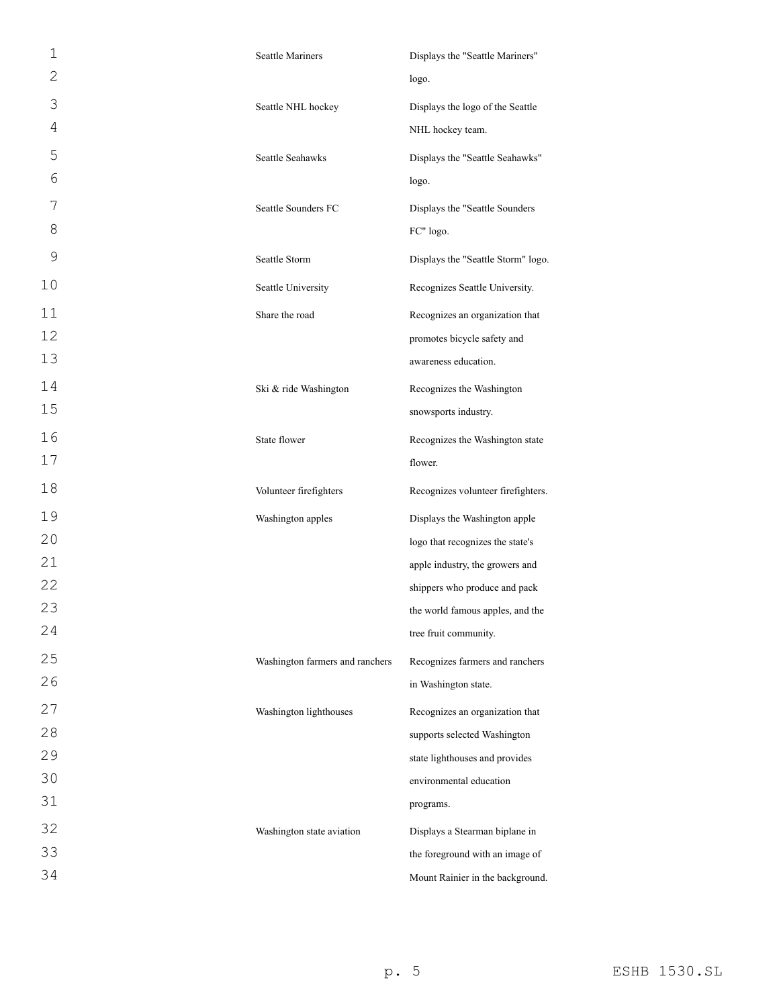| $\mathbf 1$   | <b>Seattle Mariners</b>         | Displays the "Seattle Mariners"    |
|---------------|---------------------------------|------------------------------------|
| $\mathbf{2}$  |                                 | logo.                              |
| 3             | Seattle NHL hockey              | Displays the logo of the Seattle   |
| 4             |                                 | NHL hockey team.                   |
| 5             | Seattle Seahawks                | Displays the "Seattle Seahawks"    |
| 6             |                                 | logo.                              |
| 7             | Seattle Sounders FC             | Displays the "Seattle Sounders     |
| 8             |                                 | FC" logo.                          |
| $\mathcal{G}$ | Seattle Storm                   | Displays the "Seattle Storm" logo. |
| 10            | Seattle University              | Recognizes Seattle University.     |
| 11            | Share the road                  | Recognizes an organization that    |
| 12            |                                 | promotes bicycle safety and        |
| 13            |                                 | awareness education.               |
| 14            | Ski & ride Washington           | Recognizes the Washington          |
| 15            |                                 | snowsports industry.               |
| 16            | State flower                    | Recognizes the Washington state    |
| 17            |                                 | flower.                            |
| 18            | Volunteer firefighters          | Recognizes volunteer firefighters. |
| 19            | Washington apples               | Displays the Washington apple      |
| 20            |                                 | logo that recognizes the state's   |
| 21            |                                 | apple industry, the growers and    |
| 22            |                                 | shippers who produce and pack      |
| 23            |                                 | the world famous apples, and the   |
| 24            |                                 | tree fruit community.              |
| 25            | Washington farmers and ranchers | Recognizes farmers and ranchers    |
| 26            |                                 | in Washington state.               |
| 27            | Washington lighthouses          | Recognizes an organization that    |
| 28            |                                 | supports selected Washington       |
| 29            |                                 | state lighthouses and provides     |
| 30            |                                 | environmental education            |
| 31            |                                 | programs.                          |
| 32            | Washington state aviation       | Displays a Stearman biplane in     |
| 33            |                                 | the foreground with an image of    |
| 34            |                                 | Mount Rainier in the background.   |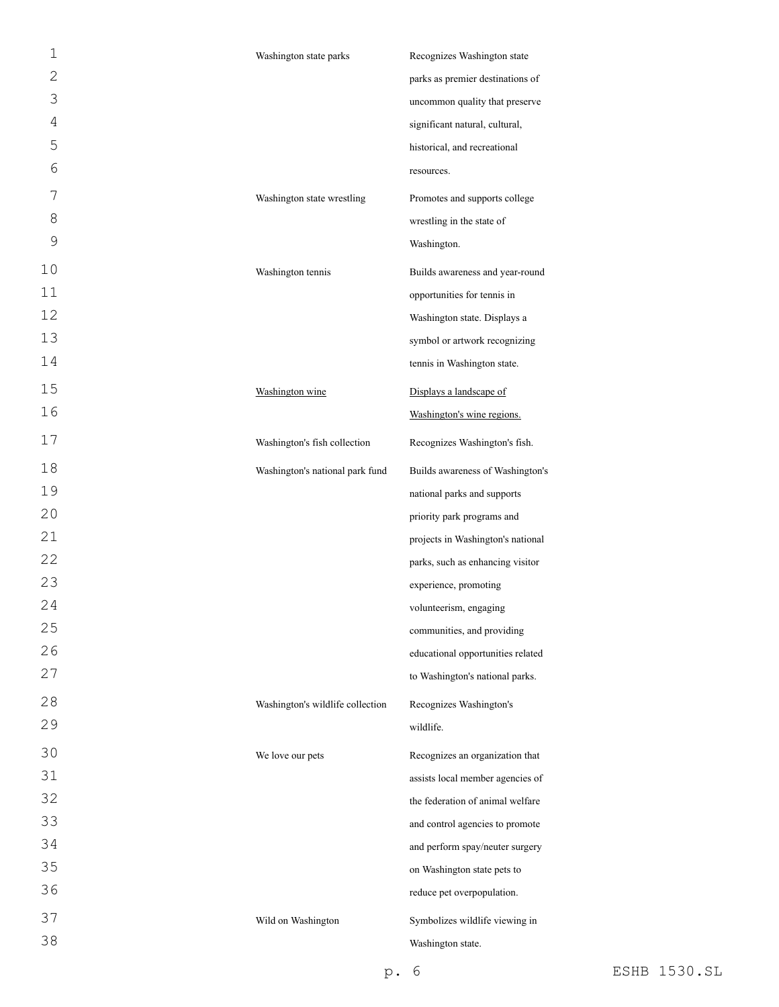| $\mathbf 1$    | Washington state parks           | Recognizes Washington state       |
|----------------|----------------------------------|-----------------------------------|
| $\overline{c}$ |                                  | parks as premier destinations of  |
| 3              |                                  | uncommon quality that preserve    |
| 4              |                                  | significant natural, cultural,    |
| 5              |                                  | historical, and recreational      |
| 6              |                                  | resources.                        |
| 7              | Washington state wrestling       | Promotes and supports college     |
| 8              |                                  | wrestling in the state of         |
| 9              |                                  | Washington.                       |
| 10             | Washington tennis                | Builds awareness and year-round   |
| 11             |                                  | opportunities for tennis in       |
| 12             |                                  | Washington state. Displays a      |
| 13             |                                  | symbol or artwork recognizing     |
| 14             |                                  | tennis in Washington state.       |
| 15             | Washington wine                  | Displays a landscape of           |
| 16             |                                  | Washington's wine regions.        |
| 17             | Washington's fish collection     | Recognizes Washington's fish.     |
| 18             | Washington's national park fund  | Builds awareness of Washington's  |
| 19             |                                  | national parks and supports       |
| 20             |                                  | priority park programs and        |
| 21             |                                  | projects in Washington's national |
| 22             |                                  | parks, such as enhancing visitor  |
| 23             |                                  | experience, promoting             |
| 24             |                                  | volunteerism, engaging            |
| 25             |                                  | communities, and providing        |
| 26             |                                  | educational opportunities related |
| 27             |                                  | to Washington's national parks.   |
| 28             | Washington's wildlife collection | Recognizes Washington's           |
| 29             |                                  | wildlife.                         |
| 30             | We love our pets                 | Recognizes an organization that   |
| 31             |                                  | assists local member agencies of  |
| 32             |                                  | the federation of animal welfare  |
| 33             |                                  | and control agencies to promote   |
| 34             |                                  | and perform spay/neuter surgery   |
| 35             |                                  | on Washington state pets to       |
| 36             |                                  | reduce pet overpopulation.        |
| 37             | Wild on Washington               | Symbolizes wildlife viewing in    |
| 38             |                                  | Washington state.                 |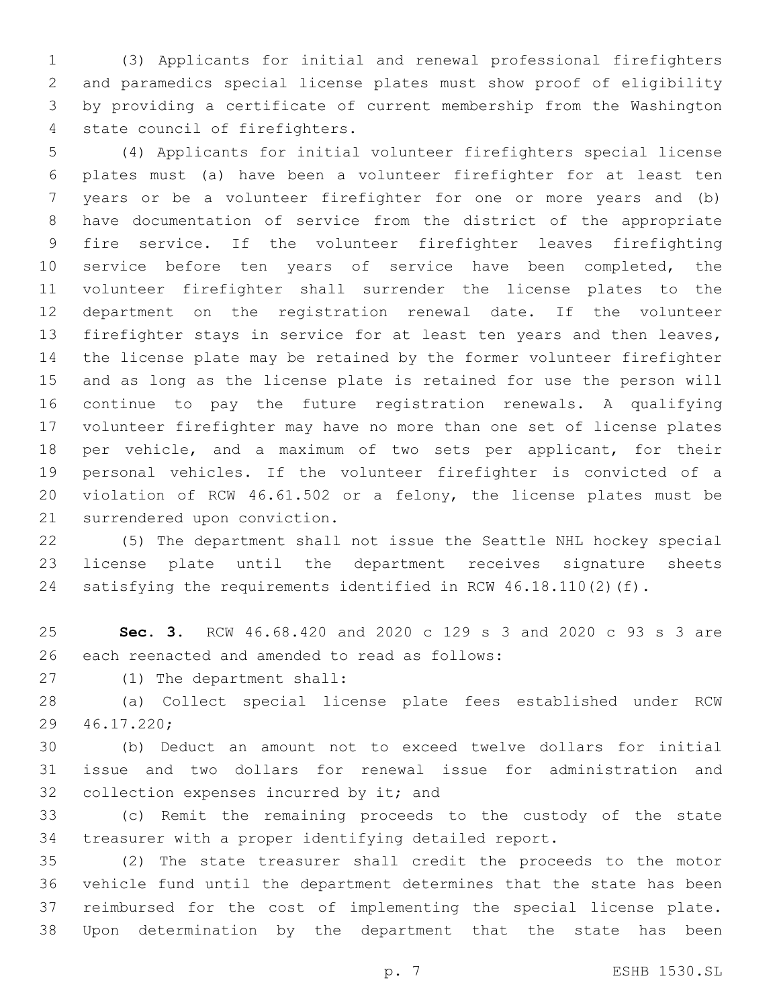(3) Applicants for initial and renewal professional firefighters and paramedics special license plates must show proof of eligibility by providing a certificate of current membership from the Washington 4 state council of firefighters.

 (4) Applicants for initial volunteer firefighters special license plates must (a) have been a volunteer firefighter for at least ten years or be a volunteer firefighter for one or more years and (b) have documentation of service from the district of the appropriate fire service. If the volunteer firefighter leaves firefighting 10 service before ten years of service have been completed, the volunteer firefighter shall surrender the license plates to the department on the registration renewal date. If the volunteer firefighter stays in service for at least ten years and then leaves, the license plate may be retained by the former volunteer firefighter and as long as the license plate is retained for use the person will continue to pay the future registration renewals. A qualifying volunteer firefighter may have no more than one set of license plates per vehicle, and a maximum of two sets per applicant, for their personal vehicles. If the volunteer firefighter is convicted of a violation of RCW 46.61.502 or a felony, the license plates must be 21 surrendered upon conviction.

 (5) The department shall not issue the Seattle NHL hockey special license plate until the department receives signature sheets satisfying the requirements identified in RCW 46.18.110(2)(f).

 **Sec. 3.** RCW 46.68.420 and 2020 c 129 s 3 and 2020 c 93 s 3 are 26 each reenacted and amended to read as follows:

27 (1) The department shall:

 (a) Collect special license plate fees established under RCW 46.17.220;29

 (b) Deduct an amount not to exceed twelve dollars for initial issue and two dollars for renewal issue for administration and 32 collection expenses incurred by it; and

 (c) Remit the remaining proceeds to the custody of the state treasurer with a proper identifying detailed report.

 (2) The state treasurer shall credit the proceeds to the motor vehicle fund until the department determines that the state has been reimbursed for the cost of implementing the special license plate. Upon determination by the department that the state has been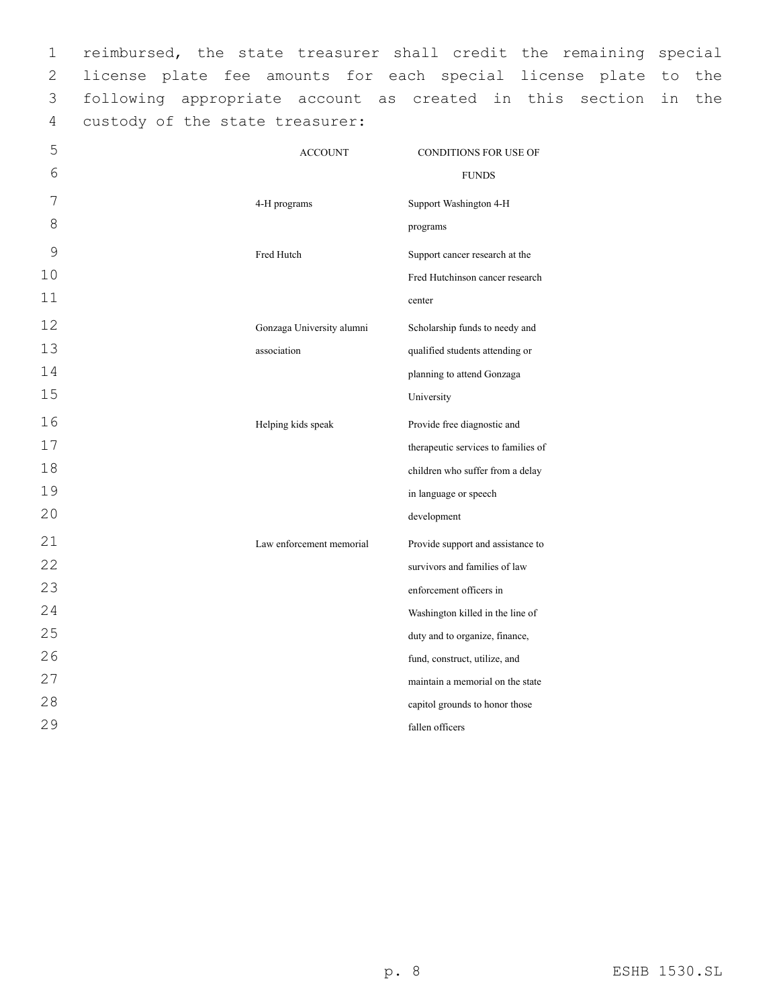reimbursed, the state treasurer shall credit the remaining special license plate fee amounts for each special license plate to the following appropriate account as created in this section in the 4 custody of the state treasurer:

| 5  | <b>ACCOUNT</b>            | <b>CONDITIONS FOR USE OF</b>        |
|----|---------------------------|-------------------------------------|
| 6  |                           | <b>FUNDS</b>                        |
| 7  | 4-H programs              | Support Washington 4-H              |
| 8  |                           | programs                            |
| 9  | Fred Hutch                | Support cancer research at the      |
| 10 |                           | Fred Hutchinson cancer research     |
| 11 |                           | center                              |
| 12 | Gonzaga University alumni | Scholarship funds to needy and      |
| 13 | association               | qualified students attending or     |
| 14 |                           | planning to attend Gonzaga          |
| 15 |                           | University                          |
| 16 | Helping kids speak        | Provide free diagnostic and         |
| 17 |                           | therapeutic services to families of |
| 18 |                           | children who suffer from a delay    |
| 19 |                           | in language or speech               |
| 20 |                           | development                         |
| 21 | Law enforcement memorial  | Provide support and assistance to   |
| 22 |                           | survivors and families of law       |
| 23 |                           | enforcement officers in             |
| 24 |                           | Washington killed in the line of    |
| 25 |                           | duty and to organize, finance,      |
| 26 |                           | fund, construct, utilize, and       |
| 27 |                           | maintain a memorial on the state    |
| 28 |                           | capitol grounds to honor those      |
| 29 |                           | fallen officers                     |
|    |                           |                                     |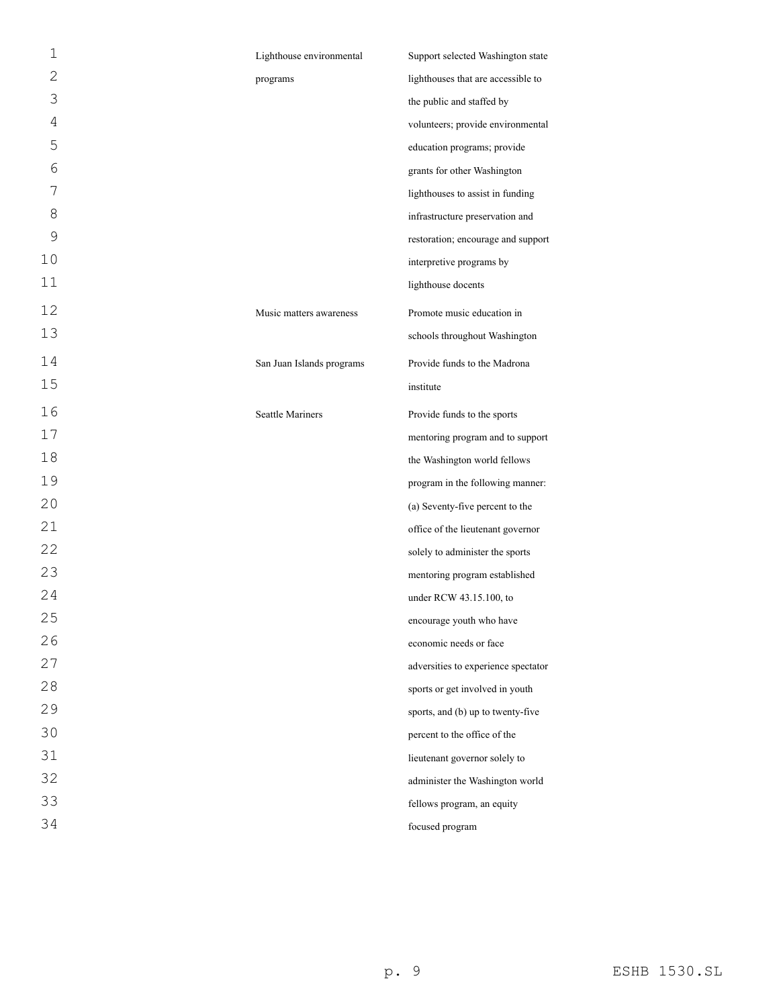| 1              | Lighthouse environmental  | Support selected Washington state   |
|----------------|---------------------------|-------------------------------------|
| $\overline{2}$ | programs                  | lighthouses that are accessible to  |
| 3              |                           | the public and staffed by           |
| 4              |                           | volunteers; provide environmental   |
| 5              |                           | education programs; provide         |
| 6              |                           | grants for other Washington         |
| 7              |                           | lighthouses to assist in funding    |
| 8              |                           | infrastructure preservation and     |
| 9              |                           | restoration; encourage and support  |
| 10             |                           | interpretive programs by            |
| 11             |                           | lighthouse docents                  |
| 12             | Music matters awareness   | Promote music education in          |
| 13             |                           | schools throughout Washington       |
| 14             | San Juan Islands programs | Provide funds to the Madrona        |
| 15             |                           | institute                           |
| 16             | <b>Seattle Mariners</b>   | Provide funds to the sports         |
| 17             |                           | mentoring program and to support    |
| 18             |                           | the Washington world fellows        |
| 19             |                           | program in the following manner:    |
| 20             |                           | (a) Seventy-five percent to the     |
| 21             |                           | office of the lieutenant governor   |
| 22             |                           | solely to administer the sports     |
| 23             |                           | mentoring program established       |
| 24             |                           | under RCW 43.15.100, to             |
| 25             |                           | encourage youth who have            |
| 26             |                           | economic needs or face              |
| 27             |                           | adversities to experience spectator |
| 28             |                           | sports or get involved in youth     |
| 29             |                           | sports, and (b) up to twenty-five   |
| 30             |                           | percent to the office of the        |
| 31             |                           | lieutenant governor solely to       |
| 32             |                           | administer the Washington world     |
| 33             |                           | fellows program, an equity          |
| 34             |                           | focused program                     |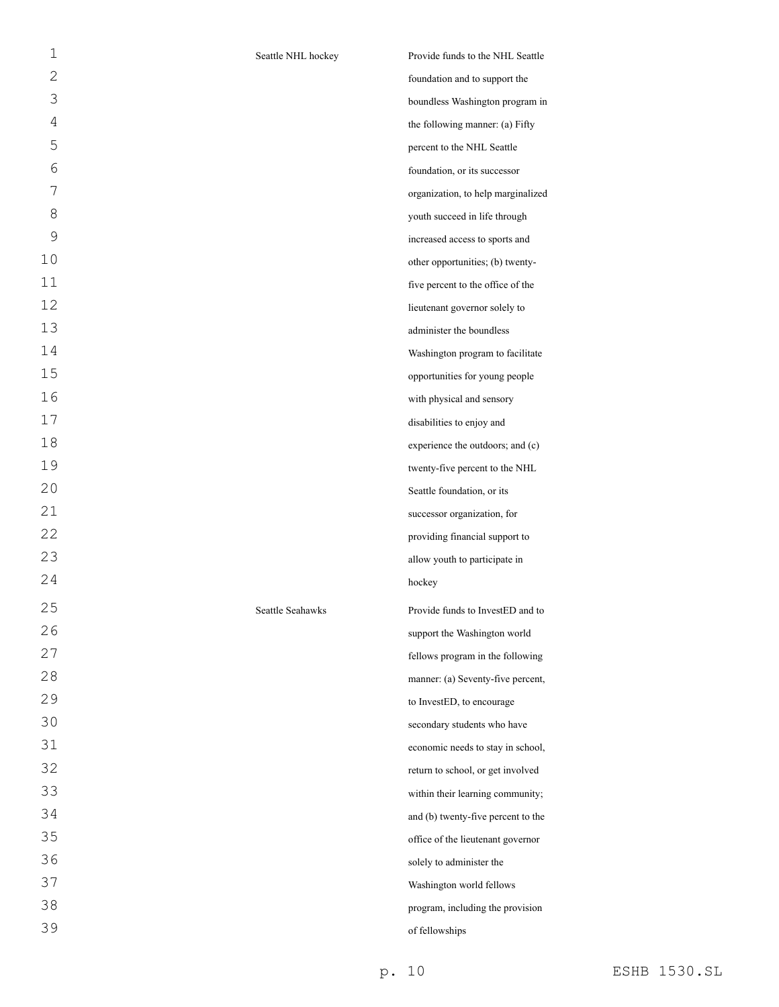| $\mathbf 1$    | Seattle NHL hockey | Provide funds to the NHL Seattle   |
|----------------|--------------------|------------------------------------|
| 2              |                    | foundation and to support the      |
| 3              |                    | boundless Washington program in    |
| $\overline{4}$ |                    | the following manner: (a) Fifty    |
| 5              |                    | percent to the NHL Seattle         |
| 6              |                    | foundation, or its successor       |
| 7              |                    | organization, to help marginalized |
| 8              |                    | youth succeed in life through      |
| 9              |                    | increased access to sports and     |
| 10             |                    | other opportunities; (b) twenty-   |
| 11             |                    | five percent to the office of the  |
| 12             |                    | lieutenant governor solely to      |
| 13             |                    | administer the boundless           |
| 14             |                    | Washington program to facilitate   |
| 15             |                    | opportunities for young people     |
| 16             |                    | with physical and sensory          |
| 17             |                    | disabilities to enjoy and          |
| 18             |                    | experience the outdoors; and (c)   |
| 19             |                    | twenty-five percent to the NHL     |
| 20             |                    | Seattle foundation, or its         |
| 21             |                    | successor organization, for        |
| 22             |                    | providing financial support to     |
| 23             |                    | allow youth to participate in      |
| 24             |                    | hockey                             |
| 25             | Seattle Seahawks   | Provide funds to InvestED and to   |
| 26             |                    | support the Washington world       |
| 27             |                    | fellows program in the following   |
| 28             |                    | manner: (a) Seventy-five percent,  |
| 29             |                    | to InvestED, to encourage          |
| 30             |                    | secondary students who have        |
| 31             |                    | economic needs to stay in school,  |
| 32             |                    | return to school, or get involved  |
| 33             |                    | within their learning community;   |
| 34             |                    | and (b) twenty-five percent to the |
| 35             |                    | office of the lieutenant governor  |
| 36             |                    | solely to administer the           |
| 37             |                    | Washington world fellows           |
| 38             |                    | program, including the provision   |
| 39             |                    | of fellowships                     |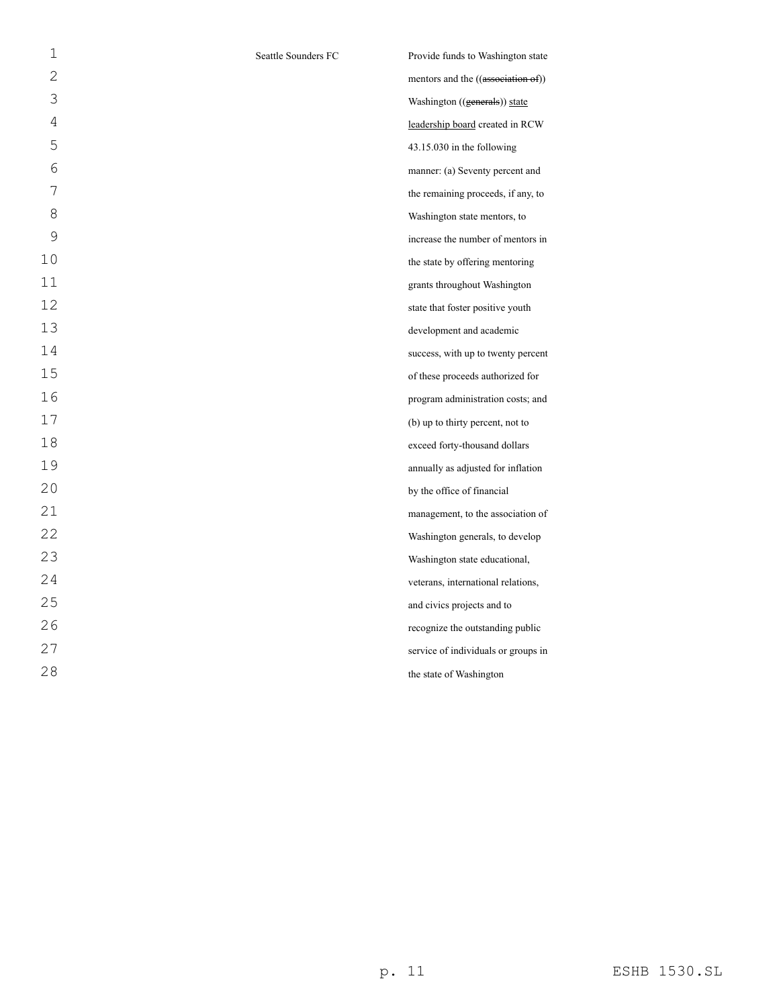| $\mathbf{1}$ | Seattle Sounders FC | Provide funds to Washington state   |
|--------------|---------------------|-------------------------------------|
| $\mathbf{2}$ |                     | mentors and the ((association of))  |
| 3            |                     | Washington ((generals)) state       |
| 4            |                     | leadership board created in RCW     |
| 5            |                     | $43.15.030$ in the following        |
| 6            |                     | manner: (a) Seventy percent and     |
| 7            |                     | the remaining proceeds, if any, to  |
| 8            |                     | Washington state mentors, to        |
| 9            |                     | increase the number of mentors in   |
| 10           |                     | the state by offering mentoring     |
| 11           |                     | grants throughout Washington        |
| 12           |                     | state that foster positive youth    |
| 13           |                     | development and academic            |
| 14           |                     | success, with up to twenty percent  |
| 15           |                     | of these proceeds authorized for    |
| 16           |                     | program administration costs; and   |
| 17           |                     | (b) up to thirty percent, not to    |
| 18           |                     | exceed forty-thousand dollars       |
| 19           |                     | annually as adjusted for inflation  |
| 20           |                     | by the office of financial          |
| 21           |                     | management, to the association of   |
| 22           |                     | Washington generals, to develop     |
| 23           |                     | Washington state educational,       |
| 24           |                     | veterans, international relations,  |
| 25           |                     | and civics projects and to          |
| 26           |                     | recognize the outstanding public    |
| 27           |                     | service of individuals or groups in |
| 28           |                     | the state of Washington             |
|              |                     |                                     |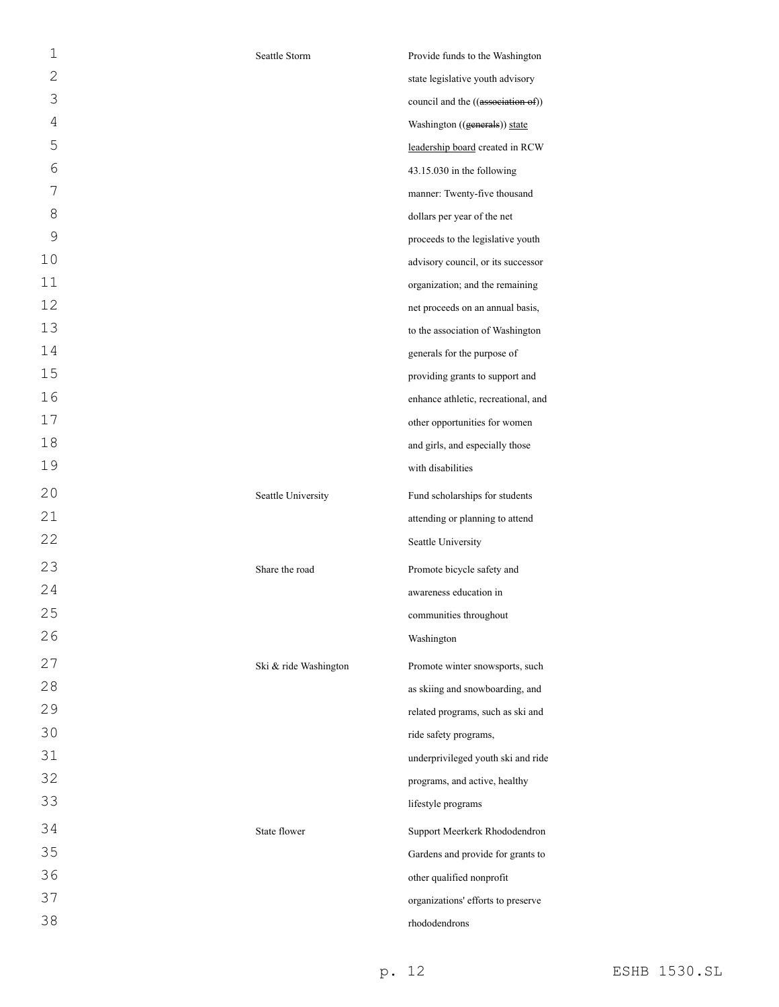| 1              | Seattle Storm         | Provide funds to the Washington     |
|----------------|-----------------------|-------------------------------------|
| $\mathbf{2}$   |                       | state legislative youth advisory    |
| 3              |                       | council and the ((association of))  |
| $\overline{4}$ |                       | Washington ((generals)) state       |
| 5              |                       | leadership board created in RCW     |
| 6              |                       | 43.15.030 in the following          |
| 7              |                       | manner: Twenty-five thousand        |
| 8              |                       | dollars per year of the net         |
| 9              |                       | proceeds to the legislative youth   |
| 10             |                       | advisory council, or its successor  |
| 11             |                       | organization; and the remaining     |
| 12             |                       | net proceeds on an annual basis,    |
| 13             |                       | to the association of Washington    |
| 14             |                       | generals for the purpose of         |
| 15             |                       | providing grants to support and     |
| 16             |                       | enhance athletic, recreational, and |
| 17             |                       | other opportunities for women       |
| 18             |                       | and girls, and especially those     |
| 19             |                       | with disabilities                   |
| 20             | Seattle University    | Fund scholarships for students      |
| 21             |                       | attending or planning to attend     |
| 22             |                       | Seattle University                  |
| 23             | Share the road        | Promote bicycle safety and          |
| 24             |                       | awareness education in              |
| 25             |                       | communities throughout              |
| 26             |                       | Washington                          |
| 27             | Ski & ride Washington | Promote winter snowsports, such     |
| 28             |                       | as skiing and snowboarding, and     |
| 29             |                       | related programs, such as ski and   |
| 30             |                       | ride safety programs,               |
| 31             |                       | underprivileged youth ski and ride  |
| 32             |                       | programs, and active, healthy       |
| 33             |                       | lifestyle programs                  |
| 34             | State flower          | Support Meerkerk Rhododendron       |
| 35             |                       | Gardens and provide for grants to   |
| 36             |                       | other qualified nonprofit           |
| 37             |                       | organizations' efforts to preserve  |
| 38             |                       | rhododendrons                       |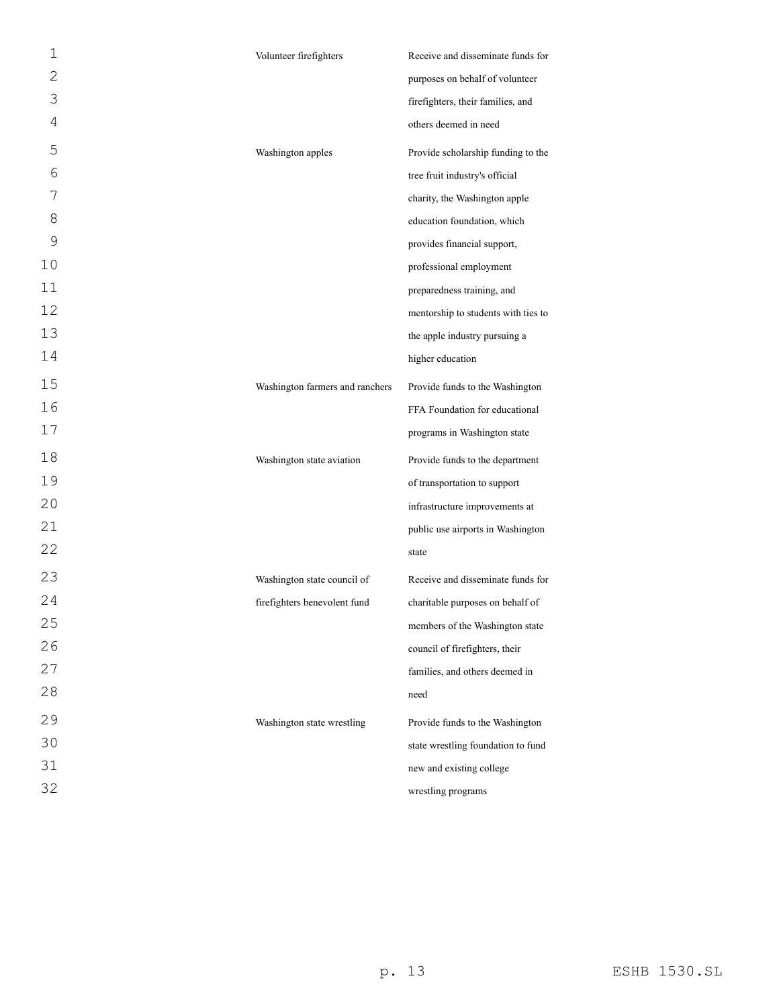| 1              | Volunteer firefighters          | Receive and disseminate funds for   |
|----------------|---------------------------------|-------------------------------------|
| $\overline{2}$ |                                 | purposes on behalf of volunteer     |
| 3              |                                 | firefighters, their families, and   |
| 4              |                                 | others deemed in need               |
| 5              | Washington apples               | Provide scholarship funding to the  |
| 6              |                                 | tree fruit industry's official      |
| 7              |                                 | charity, the Washington apple       |
| 8              |                                 | education foundation, which         |
| 9              |                                 | provides financial support,         |
| 10             |                                 | professional employment             |
| 11             |                                 | preparedness training, and          |
| 12             |                                 | mentorship to students with ties to |
| 13             |                                 | the apple industry pursuing a       |
| 14             |                                 | higher education                    |
| 15             | Washington farmers and ranchers | Provide funds to the Washington     |
| 16             |                                 | FFA Foundation for educational      |
| 17             |                                 | programs in Washington state        |
| 18             | Washington state aviation       | Provide funds to the department     |
| 19             |                                 | of transportation to support        |
| 20             |                                 | infrastructure improvements at      |
| 21             |                                 | public use airports in Washington   |
| 22             |                                 | state                               |
| 23             | Washington state council of     | Receive and disseminate funds for   |
| 24             | firefighters benevolent fund    | charitable purposes on behalf of    |
| 25             |                                 | members of the Washington state     |
| 26             |                                 | council of firefighters, their      |
| 27             |                                 | families, and others deemed in      |
| 28             |                                 | need                                |
| 29             | Washington state wrestling      | Provide funds to the Washington     |
| 30             |                                 | state wrestling foundation to fund  |
| 31             |                                 | new and existing college            |
| 32             |                                 | wrestling programs                  |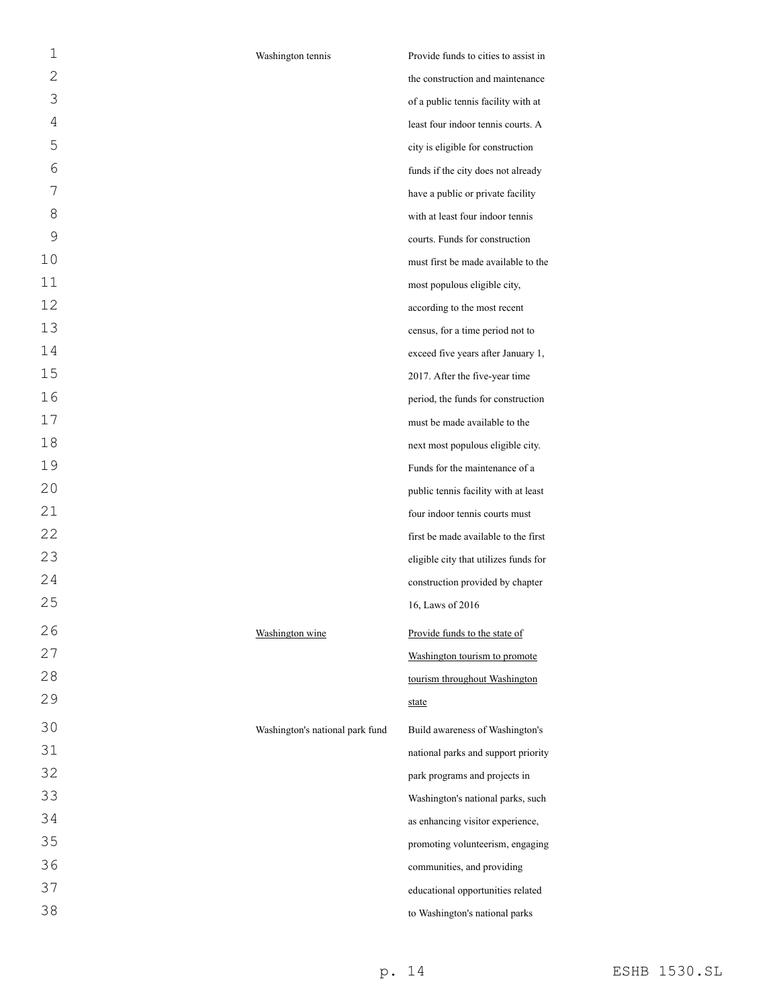| 1  | Washington tennis               | Provide funds to cities to assist in  |
|----|---------------------------------|---------------------------------------|
| 2  |                                 | the construction and maintenance      |
| 3  |                                 | of a public tennis facility with at   |
| 4  |                                 | least four indoor tennis courts. A    |
| 5  |                                 | city is eligible for construction     |
| 6  |                                 | funds if the city does not already    |
| 7  |                                 | have a public or private facility     |
| 8  |                                 | with at least four indoor tennis      |
| 9  |                                 | courts. Funds for construction        |
| 10 |                                 | must first be made available to the   |
| 11 |                                 | most populous eligible city,          |
| 12 |                                 | according to the most recent          |
| 13 |                                 | census, for a time period not to      |
| 14 |                                 | exceed five years after January 1,    |
| 15 |                                 | 2017. After the five-year time        |
| 16 |                                 | period, the funds for construction    |
| 17 |                                 | must be made available to the         |
| 18 |                                 | next most populous eligible city.     |
| 19 |                                 | Funds for the maintenance of a        |
| 20 |                                 | public tennis facility with at least  |
| 21 |                                 | four indoor tennis courts must        |
| 22 |                                 | first be made available to the first  |
| 23 |                                 | eligible city that utilizes funds for |
| 24 |                                 | construction provided by chapter      |
| 25 |                                 | 16, Laws of 2016                      |
| 26 | Washington wine                 | Provide funds to the state of         |
| 27 |                                 | Washington tourism to promote         |
| 28 |                                 | tourism throughout Washington         |
| 29 |                                 | state                                 |
| 30 | Washington's national park fund | Build awareness of Washington's       |
| 31 |                                 | national parks and support priority   |
| 32 |                                 | park programs and projects in         |
| 33 |                                 | Washington's national parks, such     |
| 34 |                                 | as enhancing visitor experience,      |
| 35 |                                 | promoting volunteerism, engaging      |
| 36 |                                 | communities, and providing            |
| 37 |                                 | educational opportunities related     |
| 38 |                                 | to Washington's national parks        |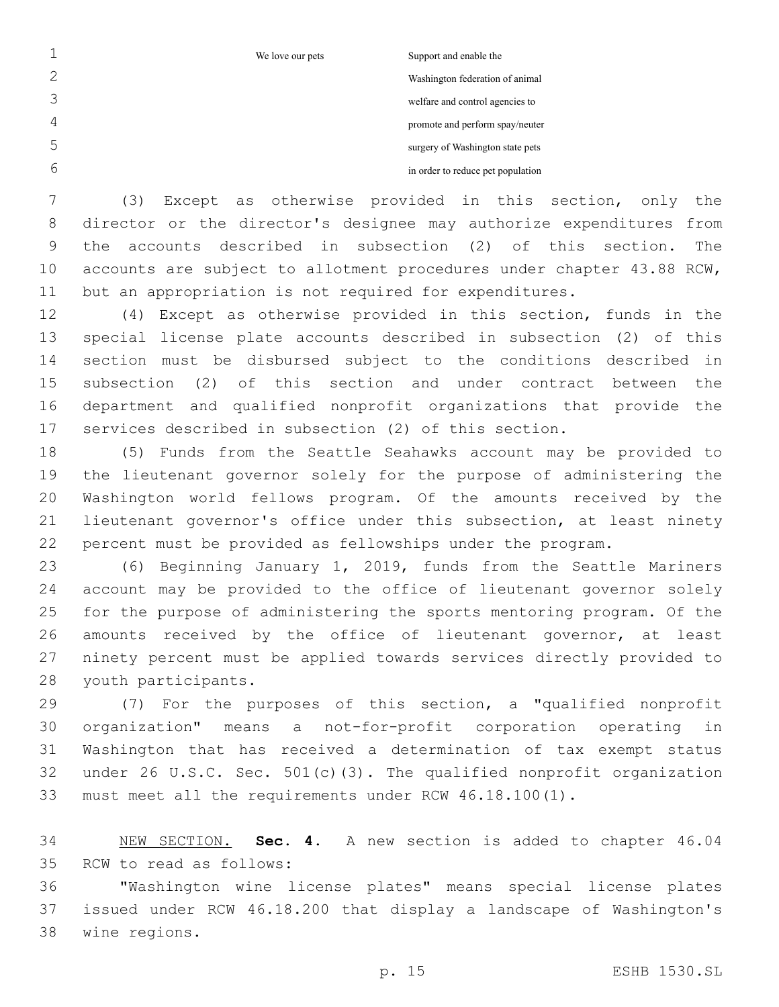We love our pets Support and enable the

Washington federation of animal welfare and control agencies to

promote and perform spay/neuter

surgery of Washington state pets

in order to reduce pet population

 (3) Except as otherwise provided in this section, only the director or the director's designee may authorize expenditures from the accounts described in subsection (2) of this section. The accounts are subject to allotment procedures under chapter 43.88 RCW, but an appropriation is not required for expenditures.

 (4) Except as otherwise provided in this section, funds in the special license plate accounts described in subsection (2) of this section must be disbursed subject to the conditions described in subsection (2) of this section and under contract between the department and qualified nonprofit organizations that provide the services described in subsection (2) of this section.

 (5) Funds from the Seattle Seahawks account may be provided to the lieutenant governor solely for the purpose of administering the Washington world fellows program. Of the amounts received by the lieutenant governor's office under this subsection, at least ninety percent must be provided as fellowships under the program.

 (6) Beginning January 1, 2019, funds from the Seattle Mariners account may be provided to the office of lieutenant governor solely for the purpose of administering the sports mentoring program. Of the amounts received by the office of lieutenant governor, at least ninety percent must be applied towards services directly provided to 28 youth participants.

 (7) For the purposes of this section, a "qualified nonprofit organization" means a not-for-profit corporation operating in Washington that has received a determination of tax exempt status under 26 U.S.C. Sec. 501(c)(3). The qualified nonprofit organization must meet all the requirements under RCW 46.18.100(1).

 NEW SECTION. **Sec. 4.** A new section is added to chapter 46.04 35 RCW to read as follows:

 "Washington wine license plates" means special license plates issued under RCW 46.18.200 that display a landscape of Washington's 38 wine regions.